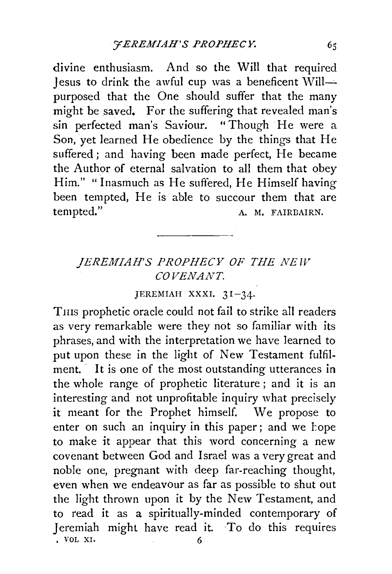divine enthusiasm. And so the Will that required Jesus to drink the awful cup was a beneficent  $\text{Will}-$ . purposed that the One should suffer that the many might be saved. For the suffering that revealed man's sin perfected man's Saviour. "Though He were a Son, yet learned He obedience by the things that He suffered; and having been made perfect, He became the Author of eternal salvation to all them that obey Him." "Inasmuch as He suffered, He Himself having been tempted, He is able to succour them that are tempted." A. M. FAIRBAIRN.

## *JEREMIAH'S PROPHECY OF THE NEW COVENANT.*

## JEREMIAH XXXI. 31-34·

Tms prophetic oracle could not fail to strike all readers as very remarkable were they not so familiar with its phrases, and with the interpretation we have learned to put upon these in the light of New Testament fulfilment. It is one of the most outstanding utterances in the whole range of prophetic literature ; and it is an interesting and not unprofitable inquiry what precisely it meant for the Prophet himself. We propose to enter on such an inquiry in this paper; and we hope to make it appear that this word concerning a new covenant between God and Israel was a very great and noble one, pregnant with deep far-reaching thought, even when we endeavour as far as possible to shut out the light thrown upon it by the New Testament, and to read it as a spiritually-minded contemporary of Jeremiah might have read it. To do this requires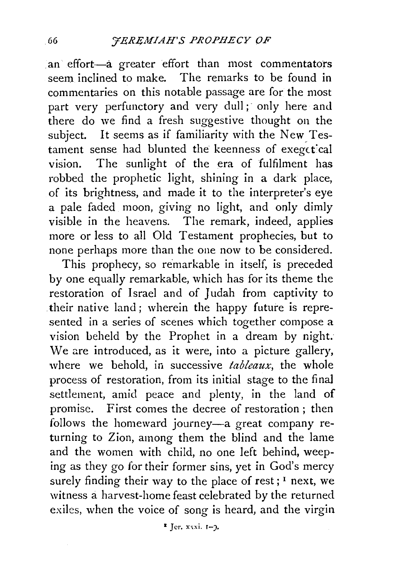an effort-a greater effort than most commentators seem inclined to make. The remarks to be found in commentaries on this notable passage are for the most part very perfunctory and very dull; only here and there do we find a fresh suggestive thought on the subject. It seems as if familiarity with the New Testament sense had blunted the keenness of exegetical vision. The sunlight of the era of fulfilment has robbed the prophetic light, shining in a dark place, of its brightness, and made it to the interpreter's eye a pale faded moon, giving no light, and only dimly visible in the heavens. The remark, indeed, applies more or less to all Old Testament prophecies, but to none perhaps more than the one now to be considered.

This prophecy, so remarkable in itself, is preceded by one equally remarkable, which has for its theme the restoration of Israel and of Judah from captivity to their native land; wherein the happy future is represented in a series of scenes which together compose a vision beheld by the Prophet in a dream by night. We are introduced, as it were, into a picture gallery, where we behold, in successive *tableaux,* the whole process of restoration, from its initial stage to the final settlement, amid peace and plenty, in the land of promise. First comes the decree of restoration ; then follows the homeward journey-a great company returning to Zion, among them the blind and the lame and the women with child, no one left behind, weeping as they go for their former sins, yet in God's mercy surely finding their way to the place of rest; <sup>1</sup> next, we witness a harvest-home feast celebrated by the returned exiles, when the voice of song is heard, and the virgin

 $Ier. xxxi. I-2.$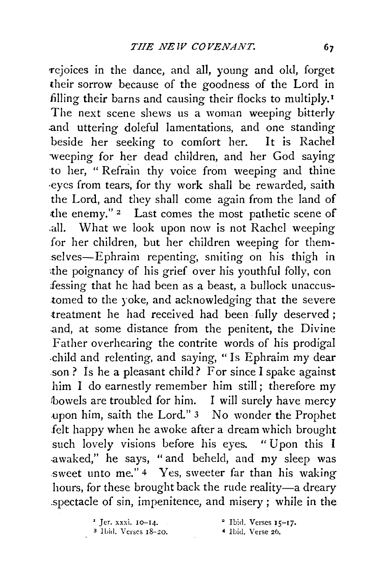rejoices in the dance, and all, young and old, forget their sorrow because of the goodness of the Lord in filling their barns and causing their flocks to multiply.<sup>1</sup> The next scene shews us a woman weeping bitterly .and uttering doleful lamentations, and one standing beside her seeking to comfort her. It is Rachel weeping for her dead children, and her God saying to her, "Refrain thy voice from weeping and thine ·eyes from tears, for thy work shall be rewarded, saith the Lord, and they shall come again from the land of the enemy."<sup>2</sup> Last comes the most pathetic scene of .all. What we look upon now is not Rachel weeping for her children, but her children weeping for themselves-Ephraim repenting, smiting on his thigh in the poignancy of his grief over his youthful folly, con fessing that he had been as a beast, a bullock unaccustomed to the yoke, and acknowledging that the severe treatment he had received had been fully deserved ; and, at some distance from the penitent, the Divine Father overhearing the contrite words of his prodigal .child and relenting, and saying, "Is Ephraim my dear .son ? Is he a pleasant child? For since I spake against him I do earnestly remember him still ; therefore my bowels are troubled for him. I will surely have mercy .upon him, saith the Lord." 3 No wonder the Prophet felt happy when he awoke after a dream which brought such lovely visions before his eyes. "Upon this I .awaked," he says, "and beheld, and my sleep was sweet unto me." 4 Yes, sweeter far than his waking hours, for these brought back the rude reality-a dreary .spectacle of sin, impenitence, and misery; while in the

 $'$  Jer. xxxi. 10-14.

<sup>3</sup> Ibid. Verses 18-20.

 $2$  Ibid. Verses  $15-17$ .

• Ibid. Verse 26.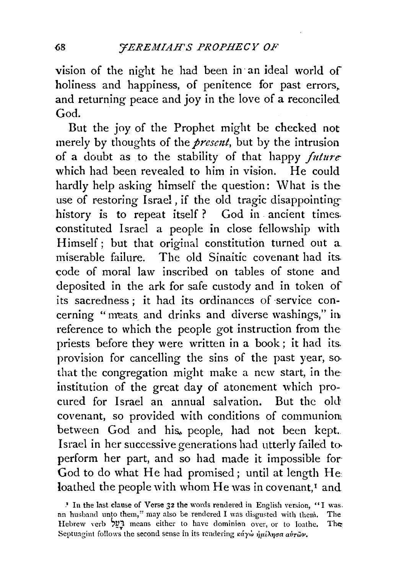vision of the night he had been in an ideal world of holiness and happiness, of penitence for past errors. and returning peace and joy in the love of a reconciled God.

But the joy of the Prophet might be checked not merely by thoughts of the *present*, but by the intrusion of a doubt as to the stability of that happy *future* which had been revealed to him in vision. He could hardly help asking himself the question: What is the use of restoring Israel , if the old tragic disappointinghistory is to repeat itself? God in ancient times. constituted Israel a people in close fellowship with Himself; but that original constitution turned out a miserable failure. The old Sinaitic covenant had its. code of moral law inscribed on tables of stone and deposited in the ark for safe custody and in token of its sacredness; it had its ordinances of -service concerning "meats and drinks and diverse washings," in, reference to which the people got instruction from thepriests before they were written in a book; it had its. provision for cancelling the sins of the past year, so. that the congregation might make a new start, in the institution of the great day of atonement which procured for Israel an annual salvation. But the old covenant, so provided with conditions of communioru between God and his, people, had not been kept. Israel in her successive generations had utterly failed to. perform her part, and so had made it impossible for-God to do what He had promised; until at length He loathed the people with whom He was in covenant, $<sup>I</sup>$  and</sup>

<sup>&</sup>lt;sup>1</sup> In the last clause of Verse 32 the words rendered in English version, "I was. an husband unto them," may also be rendered I was disgusted with them. The Hebrew verb  $22$  means either to have dominion over, or to loathe. The Septuagint follows the second sense in its rendering  $\kappa \acute{\alpha} \gamma \dot{\omega} \dot{\eta} \mu \acute{\iota} \lambda \eta \sigma \alpha \dot{\alpha} \nu \dot{\sigma} \nu$ .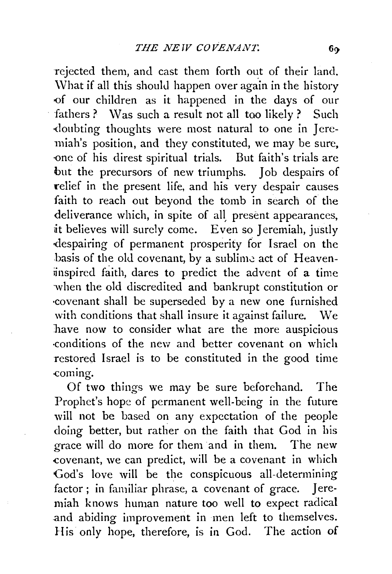rejected them, and cast them forth out of their land. \Vhat if all this should happen over again in the history <>f our children as it happened in the days of our fathers ? Was such a result not all too likely ? Such ·doubting thoughts were most natural to one in Jeremiah's position, and they constituted, we may be sure, one of his direst spiritual trials. But faith's trials are but the precursors of new triumphs. Job despairs of relief in the present life, and his very despair causes faith to reach out beyond the tomb in search of the deliverance which, in spite of all, present appearances, it believes will surely come. Even so Jeremiah, justly -despairing of permanent prosperity for Israel on the basis of the old covenant, by a sublime act of Heaveninspired faith, dares to predict the advent of a time when the old discredited and bankrupt constitution or ·covenant shall be superseded by a new one furnished with conditions that shall insure it against failure. We have now to consider what are the more auspicious ·conditions of the new and better covenant on which restored Israel is to be constituted in the good time coming.

Of two things we may be sure beforehand. The Prophet's hope of permanent well-being in the future will not be based on any expectation of the people doing better, but rather on the faith that God in his grace will do more for them and in them. The new covenant, we can predict, will be a covenant in which God's love will be the conspicuous all-determining factor; in familiar phrase, a covenant of grace. Jeremiah knows human nature too well to expect radical and abiding improvement in men left to themselves. His only hope, therefore, is in God. The action of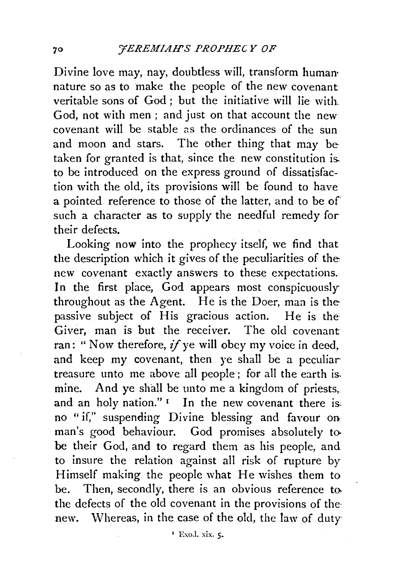Divine love may, nay, doubtless will, transform human• nature so as to make the people of the new covenant veritable sons of God ; but the initiative will lie with. God, not with men ; and just on that account the new covenant will be stable as the ordinances of the sun and moon and stars. The other thing that may be taken for granted is that, since the new constitution is. to be introduced on the express ground of dissatisfaction with the old, its provisions will be found to have a pointed reference to those of the latter, and to be of such a character as to supply the needful remedy for their defects.

Looking now into the prophecy itself, we find that the description which it gives of the peculiarities of the new covenant exactly answers to these expectations. In the first place, God appears most conspicuously throughout as the Agent. He is the Doer, man is the passive subject of His gracious action. He is the Giver, man is but the receiver. The old covenant ran: " Now therefore,  $if$  ye will obey my voice in deed, and keep my covenant, then ye shall be a peculiar treasure unto me above all people ; for all the earth is. mine. And ye shall be unto me a kingdom of priests,. and an holy nation." $I$  In the new covenant there is: no "if," suspending Divine blessing and favour on man's good behaviour. God promises absolutely tobe their God, and to regard them as his people, and to insure the relation against all risk of rupture by Himself making the people what He wishes them to be. Then, secondly, there is an obvious reference to the defects of the old covenant in the provisions of the· new. Whereas, in the case of the old, the law of duty-

 $^1$  Exod. xix.  $\zeta$ .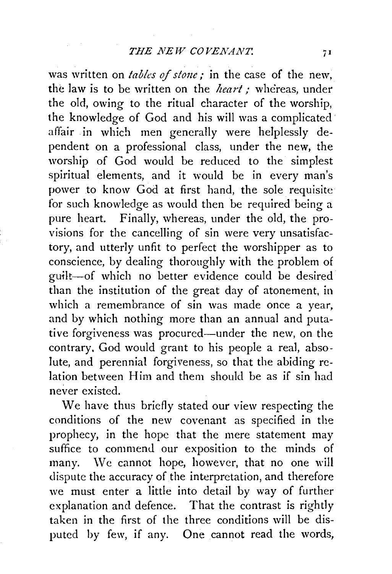was written on *tables of stone*; in the case of the new, the law is to be written on the *heart*; whereas, under the old, owing to the ritual character of the worship, the knowledge of God and his will was a complicated affair in which men generally were helplessly dependent on a professional class, under the new, the worship of God would be reduced to the simplest spiritual elements, and it would be in every man's power to know God at first hand, the sole requisite for such knowledge as would then be required being a pure heart. Finally, whereas, under the old, the provisions for the cancelling of sin were very unsatisfactory, and utterly unfit to perfect the worshipper as to conscience, by dealing thoroughly with the problem of guilt-of which no better evidence could be desired than the institution of the great day of atonement, in which a remembrance of sin was made once a year, and by which nothing more than an annual and putative forgiveness was procured-under the new, on the contrary. God would grant to his people a real, absolute, and perennial forgiveness, so that the abiding relation between Him and them should be as if sin had never existed.

We have thus briefly stated our view respecting the conditions of the new covenant as specified in the prophecy, in the hope that the mere statement may suffice to commend our exposition to the minds of many. We cannot hope, however, that no one will dispute the accuracy of the interpretation, and therefore we must enter a little into detail by way of further explanation and defence. That the contrast is rightly taken in the first of the three conditions will be disputed by few, if any. One cannot read the words,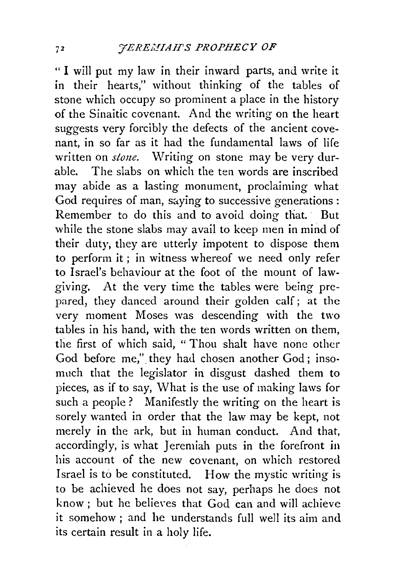"I will put my law in their inward parts, and write it in their hearts," without thinking of the tables of stone which occupy so prominent a place in the history of the Sinaitic covenant. And the writing on the heart suggests very forcibly the defects of the ancient covenant, in so far as it had the fundamental laws of life written on *stone*. Writing on stone may be very durable. The slabs on which the ten words are inscribed may abide as a lasting monument, proclaiming what God requires of man, saying to successive generations: Remember to do this and to avoid doing that. But while the stone slabs may avail to keep men in mind of their duty, they are utterly impotent to dispose them to perform it ; in witness whereof we need only refer to Israel's behaviour at the foot of the mount of lawgiving. At the very time the tables were being prepared, they danced around their golden calf ; at the very moment Moses was descending with the two tables in his hand, with the ten words written on them, the first of which said, " Thou shalt have none other God before me," they had chosen another God ; insomuch that the legislator in disgust dashed them to pieces, as if to say, What is the use of making laws for such a people? Manifestly the writing on the heart is sorely wanted in order that the law may be kept, not merely in the ark, but in human conduct. And that, accordingly, is what Jeremiah puts in the forefront in his account of the new covenant, on which restored Israel is to be constituted. How the mystic writing is to be achieved he does not say, perhaps he does not  $k$ now : but he believes that  $God$  can and will achieve it somehow; and he understands full well its aim and its certain result in a holy life.

 $72$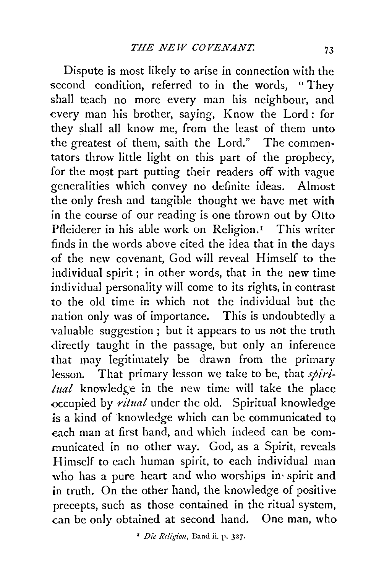Dispute is most likely to arise in connection with the second condition, referred to in the words, "They shall teach no more every man his neighbour, and every man his brother, saying, Know the Lord: for they shall all know me, from the least of them unto the greatest of them, saith the Lord." The commentators throw little light on this part of the prophecy, for the most part putting their readers off with vague generalities which convey no definite ideas. Almost the only fresh and tangible thought we have met with in the course of our reading is one thrown out by Olto Pfleiderer in his able work on Religion.<sup>1</sup> This writer finds in the words above cited the idea that in the days of the new covenant, God will reveal Himself to the individual spirit ; in other words, that in the new time individual personality will come to its rights, in contrast to the old time in which not the individual but the nation only was of importance. This is undoubtedly a valuable suggestion ; but it appears to us not the truth directly taught in the passage, but only an inference that may legitimately be drawn from the primary lesson. That primary lesson we take to be, that *spiri*tual knowledge in the new time will take the place occupied by *ritual* under the old. Spiritual knowledge is a kind of knowledge which can be communicated to each man at first hand, and which indeed can be communicated in no other way. God, as a Spirit, reveals Himself to each human spirit, to each individual man who has a pure heart and who worships in spirit and in truth. On the other hand, the knowledge of positive precepts, such as those contained in the ritual system, can be only obtained at second hand. One man, who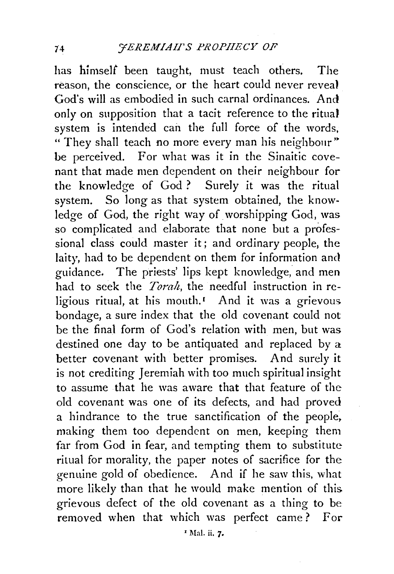has himself been taught, must teach others. The reason, the conscience, or the heart could never reveal God's will as embodied in such carnal ordinances. And only on supposition that a tacit reference to the ritual system is intended can the full force of the words, " They shall teach no more every man his neighbour" be perceived. For what was it in the Sinaitic covenant that made men dependent on their neighbour for the knowledge of God ? Surely it was the ritual system. So long as that system obtained, the knowledge of God, the right way of worshipping God, was so complicated and elaborate that none but a professional class could master it; and ordinary people, the laity, had to be dependent on them for information and guidance. The priests' lips kept knowledge, and men had to seek the *Torah,* the needful instruction in religious ritual, at his mouth.<sup>1</sup> And it was a grievous. bondage, a sure index that the old covenant could not be the final form of God's relation with men, but was destined one day to be antiquated and replaced by a better covenant with better promises. And surely it is not crediting Jeremiah with too much spiritual insight to assume that he was aware that that feature of the old covenant was one of its defects, and had proved a hindrance to the true sanctification of the people. making them too dependent on men, keeping them far from God in fear, and tempting them to substitute ritual for morality, the paper notes of sacrifice for the genuine gold of obedience. And if he saw this, what more likely than that he would make mention of this. grievous defect of the old covenant as a thing to be removed when that which was perfect came? For

 $I$  Mal. ii. 7.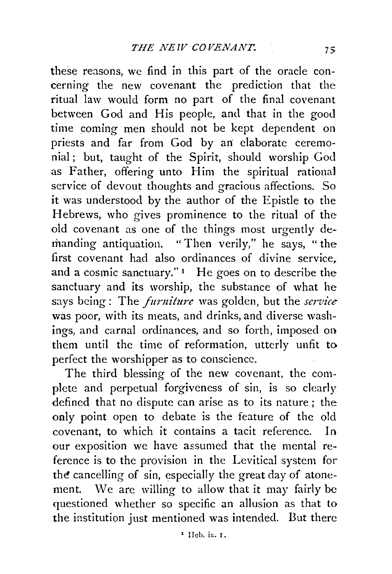these reasons, we find in this part of the oracle concerning the new covenant the prediction that the ritual law would form no part of the final covenant between God and His people, and that in the good time coming men should not be kept dependent on priests and far from God by an: elaborate ceremonial; but, taught of the Spirit, should worship God as Father, offering unto Him the spiritual rational service of devout thoughts and gracious affections. So it was understood by the author of the Epistle to the Hebrews, who gives prominence to the ritual of the old covenant as one of the things most urgently demanding antiquation. "Then verily," he says, " the first covenant had also ordinances of divine service. and a cosmic sanctuary." $I$  He goes on to describe the sanctuary and its worship, the substance of what he says being: The *furniture* was golden, but the *service* was poor, with its meats, and drinks, and diverse washings, and carnal ordinances, and so forth, imposed on them until the time of reformation, utterly unfit to perfect the worshipper as to conscience.

The third blessing of the new covenant, the complete and perpetual forgiveness of sin, is so clearly defined that no dispute can arise as to its nature ; the only point open to debate is the feature of the old covenant, to which it contains a tacit reference. In our exposition we have assumed that the mental reference is to the provision in the Levitical system for the cancelling of sin, especially the great day of atonement. We are willing to allow that it may fairly be questioned whether so specific an allusion as that to the institution just mentioned was intended. But there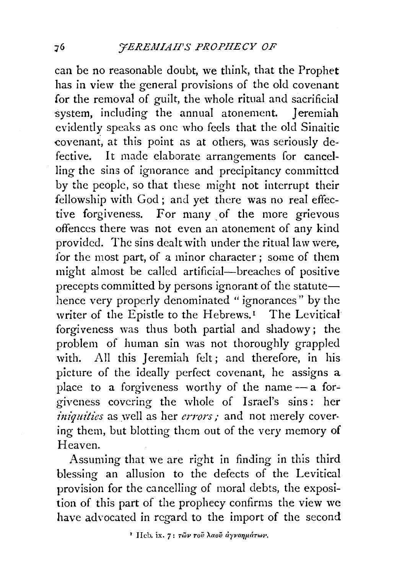can be no reasonable doubt, we think, that the Prophet has in view the general provisions of the old covenant for the removal of guilt, the whole ritual and sacrificial system, including the annual atonement. Jeremiah evidently speaks as one who feels that the old Sinaitic covenant, at this point as at others, was seriously defective. It made elaborate arrangements for cancelling the sins of ignorance and precipitancy committed by the people, so that these might not interrupt their fellowship with God ; and yet there was no real effective forgiveness. For many of the more grievous offences there was not even an atonement of any kind provided. The sins dealt with under the ritual law were, for the most part, of a minor character ; some of them might almost be called artificial-breaches of positive precepts committed by persons ignorant of the statute $$ hence very properly denominated "ignorances" by the writer of the Epistle to the Hebrews.<sup>1</sup> The Levitical forgiveness was thus both partial and shadowy; the problem of human sin was not thoroughly grappled with. All this Jeremiah felt; and therefore, in his picture of the ideally perfect covenant, he assigns a place to a forgiveness worthy of the name  $-$  a forgiveness covering the whole of Israel's sins : her *iniquities* as well as her *errors*; and not merely covering them, but blotting them out of the very memory of Heaven.

Assuming that we are right in finding in this third blessing an allusion to the defects of the Levitical provision for the cancelling of moral debts, the exposition of this part of the prophecy confirms the view we have advocated in regard to the import of the second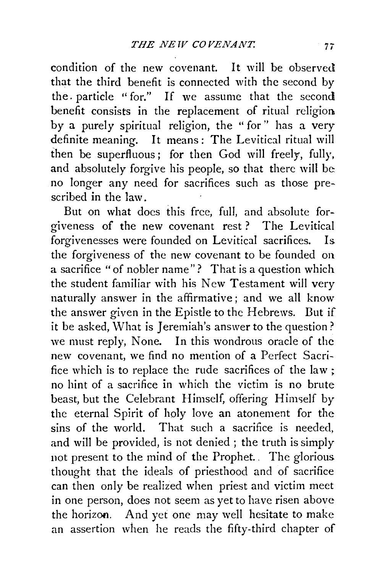condition of the new covenant. It will be observed that the third benefit is connected with the second by the. particle " for." If we assume that the second benefit consists in the replacement of ritual religion by a purely spiritual religion, the "for" has a very definite meaning. It means: The Levitical ritual will then be superfluous; for then God will freely, fully, and absolutely forgive his people, so that there will be: no longer any need for sacrifices such as those prescribed in the law.

But on what does this free, full, and absolute forgiveness of the new covenant rest ? The Levitical forgivenesses were founded on Levitical sacrifices. Is. the forgiveness of the new covenant to be founded on a sacrifice "of nobler name"? That is a question which the student familiar with his New Testament will very naturally answer in the affirmative ; and we all know the answer given in the Epistle to the Hebrews. But if it be asked, What is Jeremiah's answer to the question? we must reply, None. In this wondrous oracle of the new covenant, we find no mention of a Perfect Sacrifice which is to replace the rude sacrifices of the law; no hint of a sacrifice in which the victim is no brute beast, but the Celebrant Himself, offering Himself by the eternal Spirit of holy love an atonement for the sins of the world. That such a sacrifice is needed. and will be provided, is not denied ; the truth is simply not present to the mind of the Prophet. . The glorious thought that the ideals of priesthood and of sacrifice can then only be realized when priest and victim meet in one person, does not seem as yet to have risen above the horizon. And yet one may well hesitate to make an assertion when he reads the fifty-third chapter of